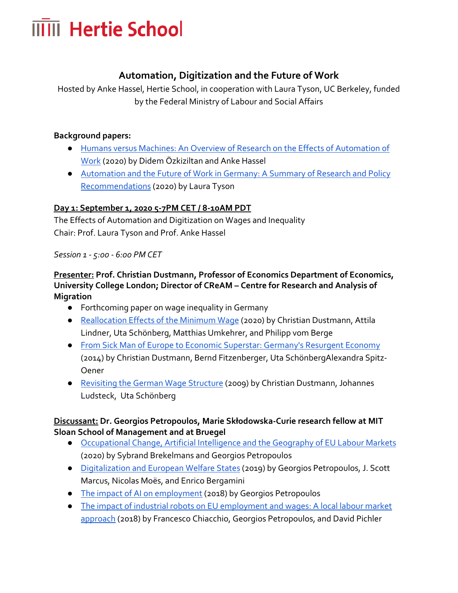# **IIIII** Hertie School

# **Automation, Digitization and the Future of Work**

Hosted by Anke Hassel, Hertie School, in cooperation with Laura Tyson, UC Berkeley, funded by the Federal Ministry of Labour and Social Affairs

#### **Background papers:**

- [Humans versus Machines: An Overview of Research on the Effects of Automation of](https://drive.google.com/file/d/184y2F0YUEBB4MCz7K7U2Tx_s6v8Uvsth/view?usp=sharing)  [Work](https://drive.google.com/file/d/184y2F0YUEBB4MCz7K7U2Tx_s6v8Uvsth/view?usp=sharing) (2020) by Didem Özkiziltan and Anke Hassel
- [Automation and the Future of Work in Germany: A Summary of Research and Policy](https://drive.google.com/file/d/1bU5iYMr2uthVlPQ-nbhiWWIaGO6PDcxW/view?usp=sharing)  [Recommendations](https://drive.google.com/file/d/1bU5iYMr2uthVlPQ-nbhiWWIaGO6PDcxW/view?usp=sharing) (2020) by Laura Tyson

### **Day 1: September 1, 2020 5-7PM CET / 8-10AM PDT**

The Effects of Automation and Digitization on Wages and Inequality Chair: Prof. Laura Tyson and Prof. Anke Hassel

#### *Session 1 - 5:00 - 6:00 PM CET*

### **Presenter: Prof. Christian Dustmann, Professor of Economics Department of Economics, University College London; Director of CReAM – Centre for Research and Analysis of Migration**

- Forthcoming paper on wage inequality in Germany
- [Reallocation Effects of the Minimum Wage](http://ww.christiandustmann.com/content/1-home/1-german-minimum-wage-drove-workers-to-more-productive-firms/cdp_07_20.pdf) (2020) by Christian Dustmann, Attila Lindner, Uta Schönberg, Matthias Umkehrer, and Philipp vom Berge
- [From Sick Man of Europe to Economic Superstar: Germany's Resurgent Economy](https://www.aeaweb.org/articles?id=10.1257/jep.28.1.167) (2014) by Christian Dustmann, Bernd Fitzenberger, Uta SchönbergAlexandra Spitz-Oener
- [Revisiting the German Wage Structure](http://www.christiandustmann.com/content/4-research/52-revisiting-the-german-wage-structure/dustmann_etal_2009_qje.pdf) (2009) by Christian Dustmann, Johannes Ludsteck, Uta Schönberg

#### **Discussant: Dr. Georgios Petropoulos, Marie Skłodowska-Curie research fellow at MIT Sloan School of Management and at Bruegel**

- [Occupational Change, Artificial Intelligence and the Geography of EU Labour Markets](https://www.bruegel.org/wp-content/uploads/2020/06/WP-2020-03-120620.pdf)  (2020) by Sybrand Brekelmans and Georgios Petropoulos
- [Digitalization and European Welfare States](https://www.bruegel.org/wp-content/uploads/2019/07/Bruegel_Blueprint_30_ONLINE.pdf) (2019) by Georgios Petropoulos, J. Scott Marcus, Nicolas Moës, and Enrico Bergamini
- [The impact of AI on employment](https://www.bruegel.org/wp-content/uploads/2018/07/Work-in-the-Digital-Age.pdf#page=142) (2018) by Georgios Petropoulos
- [The impact of industrial robots on EU employment and wages: A local labour market](https://www.econstor.eu/bitstream/10419/207001/1/1028792522.pdf)  [approach](https://www.econstor.eu/bitstream/10419/207001/1/1028792522.pdf) (2018) by Francesco Chiacchio, Georgios Petropoulos, and David Pichler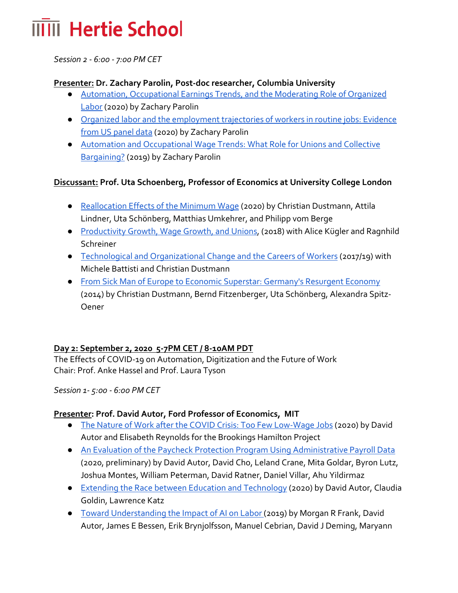# **IIIII** Hertie School

*Session 2 - 6:00 - 7:00 PM CET*

#### **Presenter: Dr. Zachary Parolin, Post-doc researcher, Columbia University**

- [Automation, Occupational Earnings Trends, and the Moderating Role of Organized](http://zachparolin.com/wp-content/uploads/2020/05/SocialForces_Parolin.pdf)  [Labor](http://zachparolin.com/wp-content/uploads/2020/05/SocialForces_Parolin.pdf) (2020) by Zachary Parolin
- [Organized labor and the employment trajectories of workers in routine jobs: Evidence](https://www.brookings.edu/research/organized-labor-and-the-employment-trajectories-of-workers-in-routine-jobs-evidence-from-u-s-panel-data/)  [from US panel data](https://www.brookings.edu/research/organized-labor-and-the-employment-trajectories-of-workers-in-routine-jobs-evidence-from-u-s-panel-data/) (2020) by Zachary Parolin
- [Automation and Occupational Wage Trends: What Role for Unions and Collective](http://www.lisdatacenter.org/wps/liswps/767.pdf)  [Bargaining?](http://www.lisdatacenter.org/wps/liswps/767.pdf) (2019) by Zachary Parolin

### **Discussant: Prof. Uta Schoenberg, Professor of Economics at University College London**

- [Reallocation Effects of the Minimum Wage](http://ww.christiandustmann.com/content/1-home/1-german-minimum-wage-drove-workers-to-more-productive-firms/cdp_07_20.pdf) (2020) by Christian Dustmann, Attila Lindner, Uta Schönberg, Matthias Umkehrer, and Philipp vom Berge
- [Productivity Growth, Wage Growth, and Unions,](https://www.ecb.europa.eu/pub/conferences/shared/pdf/20180618_ecb_forum_on_central_banking/Schoenberg_Uta_Paper.pdf) (2018) with Alice Kügler and Ragnhild Schreiner
- [Technological and Organizational Change and the Careers of Workers](https://www.qmul.ac.uk/sef/media/econ/events/Technological-and-Organizational-Change-and-the-Careers-of-Workers.pdf) (2017/19) with Michele Battisti and Christian Dustmann
- [From Sick Man of Europe to Economic Superstar: Germany's Resurgent Economy](https://www.aeaweb.org/articles?id=10.1257/jep.28.1.167) (2014) by Christian Dustmann, Bernd Fitzenberger, Uta Schönberg, Alexandra Spitz-Oener

#### **Day 2: September 2, 2020 5-7PM CET / 8-10AM PDT**

The Effects of COVID-19 on Automation, Digitization and the Future of Work Chair: Prof. Anke Hassel and Prof. Laura Tyson

*Session 1- 5:00 - 6:00 PM CET*

#### **Presenter: Prof. David Autor, Ford Professor of Economics, MIT**

- [The Nature of Work after the COVID Crisis: Too Few Low-Wage Jobs](https://www.brookings.edu/wp-content/uploads/2020/08/AutorReynolds_LO_FINAL.pdf) (2020) by David Autor and Elisabeth Reynolds for the Brookings Hamilton Project
- [An Evaluation of the Paycheck Protection Program Using Administrative Payroll Data](https://drive.google.com/file/d/14Z5-LKUQoh_4M7WYyvvKtl0p2FQyOflQ/view?usp=sharing) (2020, preliminary) by David Autor, David Cho, Leland Crane, Mita Goldar, Byron Lutz, Joshua Montes, William Peterman, David Ratner, Daniel Villar, Ahu Yildirmaz
- [Extending the Race between Education and Technology](https://pubs.aeaweb.org/doi/pdfplus/10.1257/pandp.20201061) (2020) by David Autor, Claudia Goldin, Lawrence Katz
- [Toward Understanding the Impact of AI on Labor \(](https://www.pnas.org/content/pnas/116/14/6531.full.pdf)2019) by Morgan R Frank, David Autor, James E Bessen, Erik Brynjolfsson, Manuel Cebrian, David J Deming, Maryann